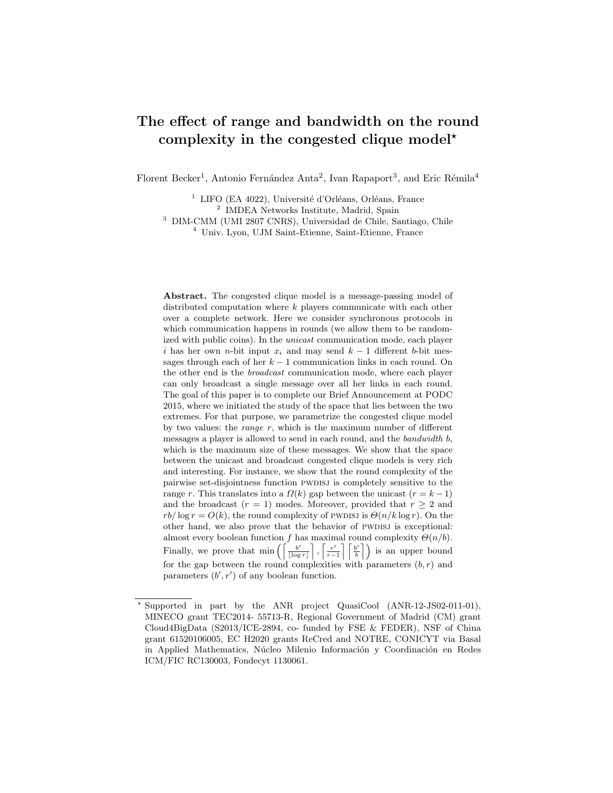# The effect of range and bandwidth on the round complexity in the congested clique model\*

Florent Becker<sup>1</sup>, Antonio Fernández Anta<sup>2</sup>, Ivan Rapaport<sup>3</sup>, and Eric Rémila<sup>4</sup>

<sup>1</sup> LIFO (EA 4022), Université d'Orléans, Orléans, France

2 IMDEA Networks Institute, Madrid, Spain

<sup>3</sup> DIM-CMM (UMI 2807 CNRS), Universidad de Chile, Santiago, Chile

<sup>4</sup> Univ. Lyon, UJM Saint-Etienne, Saint-Etienne, France

Abstract. The congested clique model is a message-passing model of distributed computation where k players communicate with each other over a complete network. Here we consider synchronous protocols in which communication happens in rounds (we allow them to be randomized with public coins). In the unicast communication mode, each player i has her own n-bit input  $x_i$  and may send  $k-1$  different b-bit messages through each of her  $k - 1$  communication links in each round. On the other end is the broadcast communication mode, where each player can only broadcast a single message over all her links in each round. The goal of this paper is to complete our Brief Announcement at PODC 2015, where we initiated the study of the space that lies between the two extremes. For that purpose, we parametrize the congested clique model by two values: the *range*  $r$ , which is the maximum number of different messages a player is allowed to send in each round, and the bandwidth b, which is the maximum size of these messages. We show that the space between the unicast and broadcast congested clique models is very rich and interesting. For instance, we show that the round complexity of the pairwise set-disjointness function pwdisj is completely sensitive to the range r. This translates into a  $\Omega(k)$  gap between the unicast  $(r = k - 1)$ and the broadcast  $(r = 1)$  modes. Moreover, provided that  $r > 2$  and  $rb/\log r = O(k)$ , the round complexity of PWDISJ is  $\Theta(n/k \log r)$ . On the other hand, we also prove that the behavior of PWDISJ is exceptional: almost every boolean function f has maximal round complexity  $\Theta(n/b)$ . Finally, we prove that min  $\left( \begin{array}{c} b' \\ \hline \end{array} \right)$  $\frac{b'}{|\log r|}$ ,  $\frac{r'}{r-}$  $\frac{r'}{r-1}$   $\left\lceil \frac{b'}{b} \right\rceil$  $\left\{ \frac{b'}{b} \right\}$  is an upper bound for the gap between the round complexities with parameters  $(b, r)$  and parameters  $(b', r')$  of any boolean function.

Supported in part by the ANR project QuasiCool (ANR-12-JS02-011-01), MINECO grant TEC2014- 55713-R, Regional Government of Madrid (CM) grant Cloud4BigData (S2013/ICE-2894, co- funded by FSE & FEDER), NSF of China grant 61520106005, EC H2020 grants ReCred and NOTRE, CONICYT via Basal in Applied Mathematics, Núcleo Milenio Información y Coordinación en Redes ICM/FIC RC130003, Fondecyt 1130061.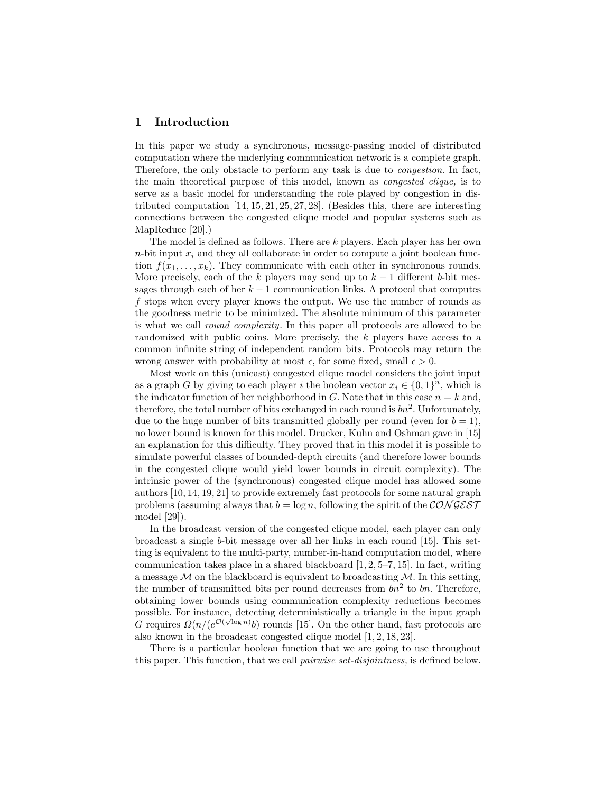### 1 Introduction

In this paper we study a synchronous, message-passing model of distributed computation where the underlying communication network is a complete graph. Therefore, the only obstacle to perform any task is due to congestion. In fact, the main theoretical purpose of this model, known as congested clique, is to serve as a basic model for understanding the role played by congestion in distributed computation [14, 15, 21, 25, 27, 28]. (Besides this, there are interesting connections between the congested clique model and popular systems such as MapReduce [20].)

The model is defined as follows. There are k players. Each player has her own  $n$ -bit input  $x_i$  and they all collaborate in order to compute a joint boolean function  $f(x_1, \ldots, x_k)$ . They communicate with each other in synchronous rounds. More precisely, each of the k players may send up to  $k-1$  different b-bit messages through each of her  $k-1$  communication links. A protocol that computes f stops when every player knows the output. We use the number of rounds as the goodness metric to be minimized. The absolute minimum of this parameter is what we call round complexity. In this paper all protocols are allowed to be randomized with public coins. More precisely, the k players have access to a common infinite string of independent random bits. Protocols may return the wrong answer with probability at most  $\epsilon$ , for some fixed, small  $\epsilon > 0$ .

Most work on this (unicast) congested clique model considers the joint input as a graph G by giving to each player i the boolean vector  $x_i \in \{0,1\}^n$ , which is the indicator function of her neighborhood in G. Note that in this case  $n = k$  and, therefore, the total number of bits exchanged in each round is  $bn^2$ . Unfortunately, due to the huge number of bits transmitted globally per round (even for  $b = 1$ ), no lower bound is known for this model. Drucker, Kuhn and Oshman gave in [15] an explanation for this difficulty. They proved that in this model it is possible to simulate powerful classes of bounded-depth circuits (and therefore lower bounds in the congested clique would yield lower bounds in circuit complexity). The intrinsic power of the (synchronous) congested clique model has allowed some authors [10, 14, 19, 21] to provide extremely fast protocols for some natural graph problems (assuming always that  $b = \log n$ , following the spirit of the CON GEST model [29]).

In the broadcast version of the congested clique model, each player can only broadcast a single b-bit message over all her links in each round [15]. This setting is equivalent to the multi-party, number-in-hand computation model, where communication takes place in a shared blackboard [1, 2, 5–7, 15]. In fact, writing a message  $M$  on the blackboard is equivalent to broadcasting  $M$ . In this setting, the number of transmitted bits per round decreases from  $bn^2$  to bn. Therefore, obtaining lower bounds using communication complexity reductions becomes possible. For instance, detecting deterministically a triangle in the input graph G requires  $\Omega(n/(e^{\mathcal{O}(\sqrt{\log n})}b)$  rounds [15]. On the other hand, fast protocols are also known in the broadcast congested clique model [1, 2, 18, 23].

There is a particular boolean function that we are going to use throughout this paper. This function, that we call *pairwise set-disjointness*, is defined below.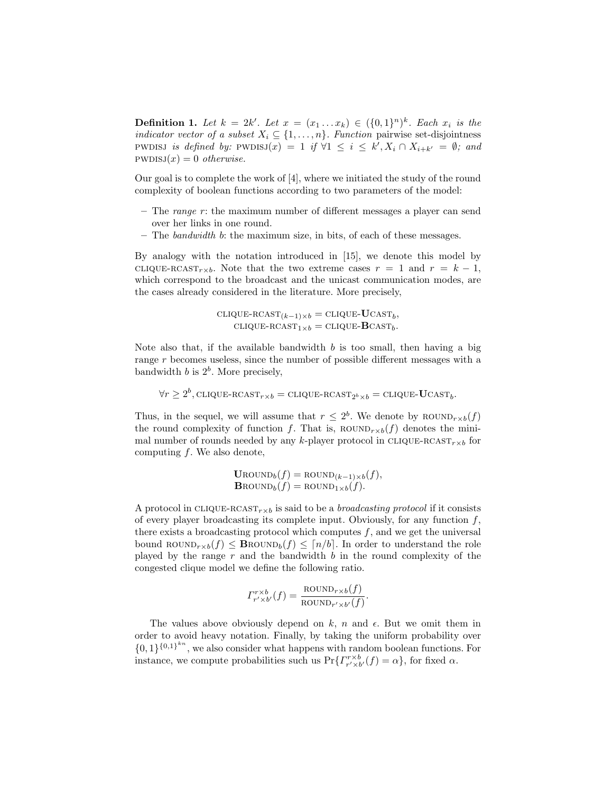**Definition 1.** Let  $k = 2k'$ . Let  $x = (x_1 \dots x_k) \in (\{0,1\}^n)^k$ . Each  $x_i$  is the indicator vector of a subset  $X_i \subseteq \{1, \ldots, n\}$ . Function pairwise set-disjointness PWDISJ is defined by:  $\text{PWDISJ}(x) = 1$  if  $\forall 1 \leq i \leq k', X_i \cap X_{i+k'} = \emptyset$ ; and  $PWDISJ(x) = 0$  otherwise.

Our goal is to complete the work of [4], where we initiated the study of the round complexity of boolean functions according to two parameters of the model:

- The *range*  $r$ : the maximum number of different messages a player can send over her links in one round.
- The bandwidth b: the maximum size, in bits, of each of these messages.

By analogy with the notation introduced in [15], we denote this model by CLIQUE-RCAST<sub>r×b</sub>. Note that the two extreme cases  $r = 1$  and  $r = k - 1$ , which correspond to the broadcast and the unicast communication modes, are the cases already considered in the literature. More precisely,

> $\text{CLIQUE-RCAST}_{(k-1)\times b} = \text{CLIQUE-UCAST}_b,$  $\text{CLIQUE-RCAST}_{1\times b} = \text{CLIQUE-BCAST}_{b}.$

Note also that, if the available bandwidth  $b$  is too small, then having a big range r becomes useless, since the number of possible different messages with a bandwidth  $b$  is  $2^b$ . More precisely,

 $\forall r \geq 2^b$ , clique-rcast $r_{r \times b} = \text{clique-RCAST}_{2^b \times b} = \text{clique-UCAST}_{b}.$ 

Thus, in the sequel, we will assume that  $r \leq 2^b$ . We denote by ROUND<sub>r×b</sub>(f) the round complexity of function f. That is,  $\text{ROUND}_{r\times b}(f)$  denotes the minimal number of rounds needed by any k-player protocol in CLIQUE-RCAST<sub>r×b</sub> for computing  $f$ . We also denote,

$$
\text{Uround}_b(f) = \text{ROUND}_{(k-1) \times b}(f),
$$
  

$$
\text{Brown}_{b}(f) = \text{ROUND}_{1 \times b}(f).
$$

A protocol in CLIQUE-RCAST<sub>r $\times b$ </sub> is said to be a *broadcasting protocol* if it consists of every player broadcasting its complete input. Obviously, for any function  $f$ , there exists a broadcasting protocol which computes  $f$ , and we get the universal bound ROUND<sub>r×b</sub> $(f) \leq$  **B**ROUND<sub>b</sub> $(f) \leq \lceil n/b \rceil$ . In order to understand the role played by the range  $r$  and the bandwidth  $b$  in the round complexity of the congested clique model we define the following ratio.

$$
\Gamma_{r' \times b'}^{r \times b}(f) = \frac{\text{ROUND}_{r \times b}(f)}{\text{ROUND}_{r' \times b'}(f)}.
$$

The values above obviously depend on k, n and  $\epsilon$ . But we omit them in order to avoid heavy notation. Finally, by taking the uniform probability over  $\{0,1\}^{\{0,1\}^{kn}}$ , we also consider what happens with random boolean functions. For instance, we compute probabilities such us  $Pr\{ \Gamma_{r' \times b'}^{r \times b'}(f) = \alpha \}$ , for fixed  $\alpha$ .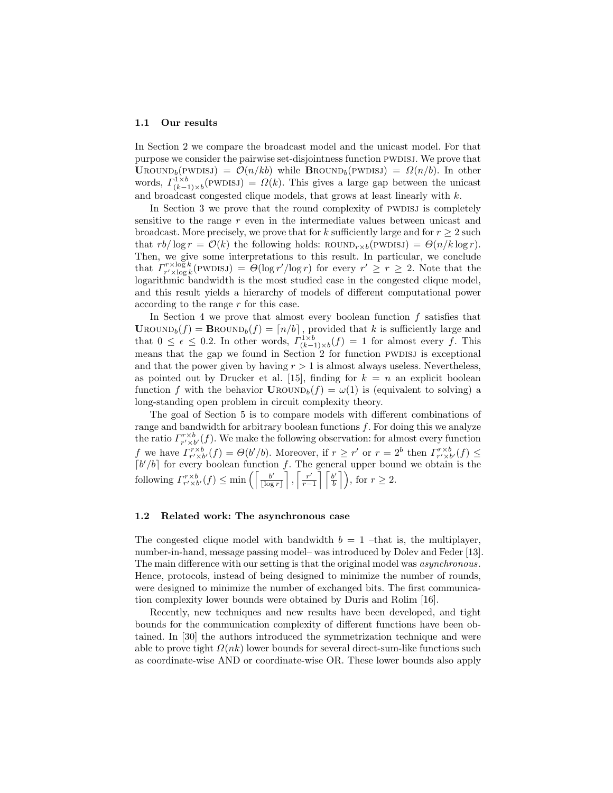#### 1.1 Our results

In Section 2 we compare the broadcast model and the unicast model. For that purpose we consider the pairwise set-disjointness function PWDISJ. We prove that UROUND<sub>b</sub>(PWDISJ) =  $\mathcal{O}(n/kb)$  while BROUND<sub>b</sub>(PWDISJ) =  $\Omega(n/b)$ . In other words,  $\Gamma^{1\times b}_{(k-1)\times b}$ (PWDISJ) =  $\Omega(k)$ . This gives a large gap between the unicast and broadcast congested clique models, that grows at least linearly with k.

In Section 3 we prove that the round complexity of PWDISJ is completely sensitive to the range  $r$  even in the intermediate values between unicast and broadcast. More precisely, we prove that for k sufficiently large and for  $r \geq 2$  such that  $rb/\log r = \mathcal{O}(k)$  the following holds:  $\text{ROUND}_{r \times b}(\text{PWDIS}) = \Theta(n/k \log r)$ . Then, we give some interpretations to this result. In particular, we conclude that  $\Gamma_{r' \times \log k}^{r \times \log k}$  (PWDISJ) =  $\Theta(\log r'/\log r)$  for every  $r' \geq r \geq 2$ . Note that the logarithmic bandwidth is the most studied case in the congested clique model, and this result yields a hierarchy of models of different computational power according to the range r for this case.

In Section 4 we prove that almost every boolean function  $f$  satisfies that  $\text{Urown}_b(f) = \text{Brown}_b(f) = \lfloor n/b \rfloor$ , provided that k is sufficiently large and that  $0 \leq \epsilon \leq 0.2$ . In other words,  $\Gamma_{(k-1)\times b}^{1\times b}(f) = 1$  for almost every f. This means that the gap we found in Section  $2$  for function PWDISJ is exceptional and that the power given by having  $r > 1$  is almost always useless. Nevertheless, as pointed out by Drucker et al. [15], finding for  $k = n$  an explicit boolean function f with the behavior  $\text{Urown}_{b}(f) = \omega(1)$  is (equivalent to solving) a long-standing open problem in circuit complexity theory.

The goal of Section 5 is to compare models with different combinations of range and bandwidth for arbitrary boolean functions  $f$ . For doing this we analyze the ratio  $\Gamma_{r'\times b'}^{r'\times b'}(f)$ . We make the following observation: for almost every function f we have  $\Gamma_{r'\times b'}^{r'\times b}(f) = \Theta(b'/b)$ . Moreover, if  $r \geq r'$  or  $r = 2^b$  then  $\Gamma_{r'\times b'}^{r'\times b}(f) \leq$  $\lceil b'/b \rceil$  for every boolean function f. The general upper bound we obtain is the following  $\varGamma_{r' \times b'}^{r \times b}(f) \leq \min\left(\left[\frac{b'}{|\log n}\right]\right)$  $\frac{b'}{\lfloor \log r \rfloor}$ ,  $\lceil \frac{r'}{r-1} \rceil$  $\left\lfloor \frac{r'}{r-1} \right\rfloor \left\lceil \frac{b'}{b} \right\rceil$  $\left\lfloor \frac{b'}{b} \right\rfloor$ , for  $r \geq 2$ .

#### 1.2 Related work: The asynchronous case

The congested clique model with bandwidth  $b = 1$  –that is, the multiplayer, number-in-hand, message passing model– was introduced by Dolev and Feder [13]. The main difference with our setting is that the original model was *asynchronous*. Hence, protocols, instead of being designed to minimize the number of rounds, were designed to minimize the number of exchanged bits. The first communication complexity lower bounds were obtained by Duris and Rolim [16].

Recently, new techniques and new results have been developed, and tight bounds for the communication complexity of different functions have been obtained. In [30] the authors introduced the symmetrization technique and were able to prove tight  $\Omega(nk)$  lower bounds for several direct-sum-like functions such as coordinate-wise AND or coordinate-wise OR. These lower bounds also apply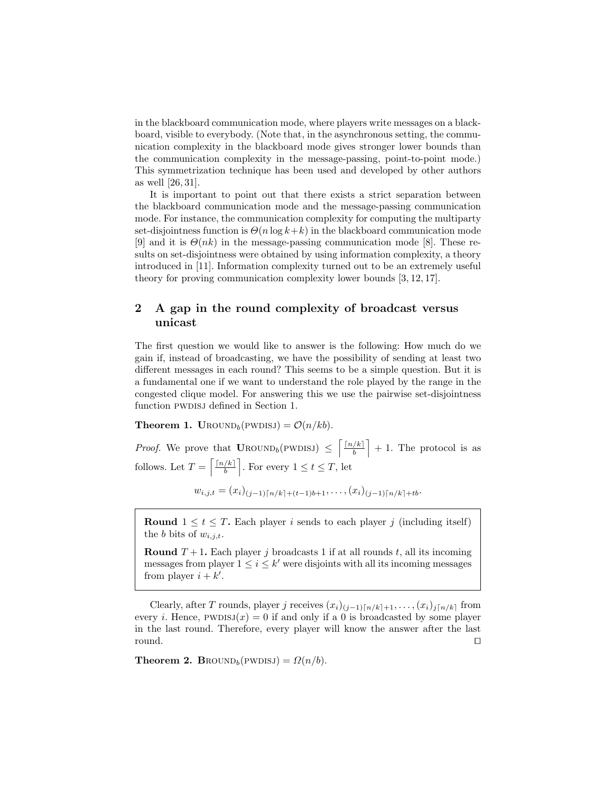in the blackboard communication mode, where players write messages on a blackboard, visible to everybody. (Note that, in the asynchronous setting, the communication complexity in the blackboard mode gives stronger lower bounds than the communication complexity in the message-passing, point-to-point mode.) This symmetrization technique has been used and developed by other authors as well [26, 31].

It is important to point out that there exists a strict separation between the blackboard communication mode and the message-passing communication mode. For instance, the communication complexity for computing the multiparty set-disjointness function is  $\Theta(n \log k + k)$  in the blackboard communication mode [9] and it is  $\Theta(nk)$  in the message-passing communication mode [8]. These results on set-disjointness were obtained by using information complexity, a theory introduced in [11]. Information complexity turned out to be an extremely useful theory for proving communication complexity lower bounds [3, 12, 17].

# 2 A gap in the round complexity of broadcast versus unicast

The first question we would like to answer is the following: How much do we gain if, instead of broadcasting, we have the possibility of sending at least two different messages in each round? This seems to be a simple question. But it is a fundamental one if we want to understand the role played by the range in the congested clique model. For answering this we use the pairwise set-disjointness function PWDISJ defined in Section 1.

**Theorem 1. UROUND**<sub>b</sub>(PWDISJ) =  $\mathcal{O}(n/kb)$ .

*Proof.* We prove that  $\text{Urown}_{b}(\text{PWDISJ}) \leq \left[\frac{\lceil n/k \rceil}{h}\right]$  $\left\lfloor \frac{k}{b} \right\rfloor + 1$ . The protocol is as follows. Let  $T = \left\lceil \frac{\lceil n/k \rceil}{h} \right\rceil$  $\left\lfloor \frac{k}{b} \right\rfloor$ . For every  $1 \leq t \leq T$ , let

$$
w_{i,j,t} = (x_i)_{(j-1)\lceil n/k \rceil + (t-1)b + 1}, \ldots, (x_i)_{(j-1)\lceil n/k \rceil + tb}.
$$

**Round**  $1 \leq t \leq T$ . Each player *i* sends to each player *j* (including itself) the b bits of  $w_{i,j,t}$ .

**Round**  $T + 1$ . Each player j broadcasts 1 if at all rounds t, all its incoming messages from player  $1 \leq i \leq k'$  were disjoints with all its incoming messages from player  $i + k'$ .

Clearly, after T rounds, player j receives  $(x_i)_{(j-1)\lceil n/k\rceil+1}, \ldots, (x_i)_{j\lceil n/k\rceil}$  from every *i*. Hence,  $PWDISJ(x) = 0$  if and only if a 0 is broadcasted by some player in the last round. Therefore, every player will know the answer after the last round.  $\square$ 

**Theorem 2. BROUND**<sub>b</sub>(PWDISJ) =  $\Omega(n/b)$ .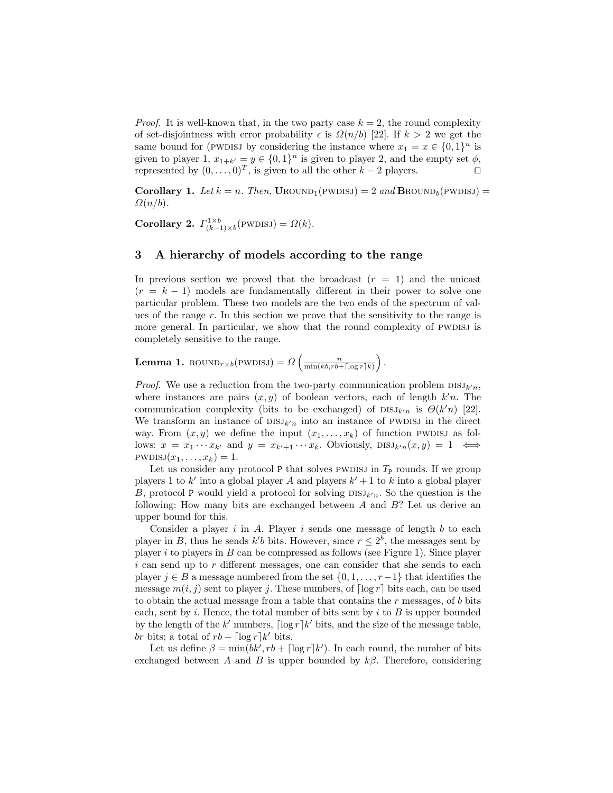*Proof.* It is well-known that, in the two party case  $k = 2$ , the round complexity of set-disjointness with error probability  $\epsilon$  is  $\Omega(n/b)$  [22]. If  $k > 2$  we get the same bound for (PWDISJ by considering the instance where  $x_1 = x \in \{0,1\}^n$  is given to player 1,  $x_{1+k'} = y \in \{0, 1\}^n$  is given to player 2, and the empty set  $\phi$ , represented by  $(0, \ldots, 0)^T$ , is given to all the other  $k-2$  players.

**Corollary 1.** Let  $k = n$ . Then, UROUND<sub>1</sub>(PWDISJ) = 2 and **BROUND**<sub>6</sub>(PWDISJ) =  $\Omega(n/b)$ .

**Corollary 2.**  $\Gamma_{(k-1)\times b}^{1\times b}$  (PWDISJ) =  $\Omega(k)$ .

### 3 A hierarchy of models according to the range

In previous section we proved that the broadcast  $(r = 1)$  and the unicast  $(r = k - 1)$  models are fundamentally different in their power to solve one particular problem. These two models are the two ends of the spectrum of values of the range  $r$ . In this section we prove that the sensitivity to the range is more general. In particular, we show that the round complexity of PWDISJ is completely sensitive to the range.

**Lemma 1.** ROUND<sub>r×b</sub>(PWDISJ) =  $\Omega\left(\frac{n}{\min(kb, rb + \lceil \log r \rceil k)}\right)$ .

*Proof.* We use a reduction from the two-party communication problem  $DISJ_{k'n}$ , where instances are pairs  $(x, y)$  of boolean vectors, each of length  $k'n$ . The communication complexity (bits to be exchanged) of  $\text{DISJ}_{k'n}$  is  $\Theta(k'n)$  [22]. We transform an instance of  $DISJ_{k'n}$  into an instance of PWDISJ in the direct way. From  $(x, y)$  we define the input  $(x_1, \ldots, x_k)$  of function PWDISJ as follows:  $x = x_1 \cdots x_{k'}$  and  $y = x_{k'+1} \cdots x_k$ . Obviously,  $\text{DISJ}_{k'n}(x, y) = 1 \iff$  $PWDISJ(x_1, \ldots, x_k) = 1.$ 

Let us consider any protocol P that solves PWDISJ in  $T_{\rm P}$  rounds. If we group players 1 to k' into a global player A and players  $k' + 1$  to k into a global player B, protocol P would yield a protocol for solving  $DISJ_{k'n}$ . So the question is the following: How many bits are exchanged between  $A$  and  $B$ ? Let us derive an upper bound for this.

Consider a player  $i$  in  $A$ . Player  $i$  sends one message of length  $b$  to each player in B, thus he sends  $k'b$  bits. However, since  $r \leq 2^b$ , the messages sent by player i to players in B can be compressed as follows (see Figure 1). Since player i can send up to r different messages, one can consider that she sends to each player  $j \in B$  a message numbered from the set  $\{0, 1, \ldots, r-1\}$  that identifies the message  $m(i, j)$  sent to player j. These numbers, of  $\lceil \log r \rceil$  bits each, can be used to obtain the actual message from a table that contains the  $r$  messages, of  $b$  bits each, sent by i. Hence, the total number of bits sent by i to  $B$  is upper bounded by the length of the  $k'$  numbers,  $\lceil \log r \rceil k'$  bits, and the size of the message table, br bits; a total of  $rb + \lceil \log r \rceil k'$  bits.

Let us define  $\beta = \min(bk', rb + \lceil \log r \rceil k')$ . In each round, the number of bits exchanged between A and B is upper bounded by  $k\beta$ . Therefore, considering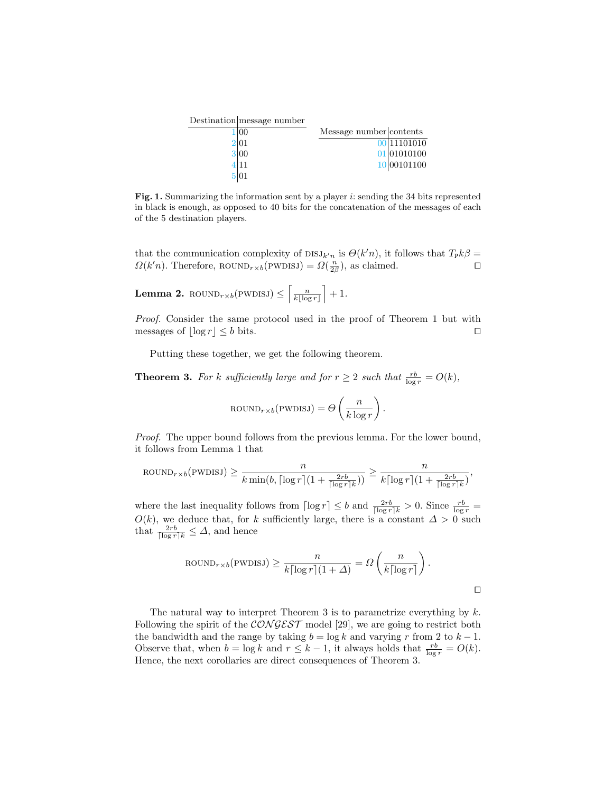| Destination message number |                         |                          |
|----------------------------|-------------------------|--------------------------|
| $ 00\rangle$               | Message number contents |                          |
| 2 01                       |                         | $\overline{00}$ 11101010 |
| 3 00                       |                         | 01 01010100              |
| 4 11                       |                         | 10 00101100              |
|                            |                         |                          |

Fig. 1. Summarizing the information sent by a player  $i$ : sending the 34 bits represented in black is enough, as opposed to 40 bits for the concatenation of the messages of each of the 5 destination players.

that the communication complexity of  $DSJ_{k'n}$  is  $\Theta(k'n)$ , it follows that  $T_{\mathsf{P}}k\beta =$  $\Omega(k'n)$ . Therefore, ROUND<sub>r×b</sub>(PWDISJ) =  $\Omega(\frac{n}{2\beta})$ , as claimed.

**Lemma 2.** 
$$
\text{ROUND}_{r \times b}(\text{PWDISJ}) \leq \left\lceil \frac{n}{k \lfloor \log r \rfloor} \right\rceil + 1.
$$

Proof. Consider the same protocol used in the proof of Theorem 1 but with messages of  $|\log r| \leq b$  bits.

Putting these together, we get the following theorem.

**Theorem 3.** For k sufficiently large and for  $r \geq 2$  such that  $\frac{rb}{\log r} = O(k)$ ,

$$
ROUND_{r \times b}(PWDISJ) = \Theta\left(\frac{n}{k \log r}\right).
$$

Proof. The upper bound follows from the previous lemma. For the lower bound, it follows from Lemma 1 that

$$
\text{ROUND}_{r \times b}(\text{PWDISJ}) \ge \frac{n}{k \min(b, \lceil \log r \rceil (1 + \frac{2rb}{\lceil \log r \rceil k}))} \ge \frac{n}{k \lceil \log r \rceil (1 + \frac{2rb}{\lceil \log r \rceil k})},
$$

where the last inequality follows from  $\lceil \log r \rceil \leq b$  and  $\frac{2rb}{\lceil \log r \rceil k} > 0$ . Since  $\frac{rb}{\log r} =$  $O(k)$ , we deduce that, for k sufficiently large, there is a constant  $\Delta > 0$  such that  $\frac{2rb}{\lceil \log r \rceil k} \leq \Delta$ , and hence

$$
\text{ROUND}_{r \times b}(\text{PWDISJ}) \ge \frac{n}{k \lceil \log r \rceil (1 + \Delta)} = \Omega \left( \frac{n}{k \lceil \log r \rceil} \right).
$$

The natural way to interpret Theorem 3 is to parametrize everything by  $k$ . Following the spirit of the  $\mathcal{CONGEST}$  model [29], we are going to restrict both the bandwidth and the range by taking  $b = \log k$  and varying r from 2 to  $k - 1$ . Observe that, when  $b = \log k$  and  $r \leq k - 1$ , it always holds that  $\frac{rb}{\log r} = O(k)$ . Hence, the next corollaries are direct consequences of Theorem 3.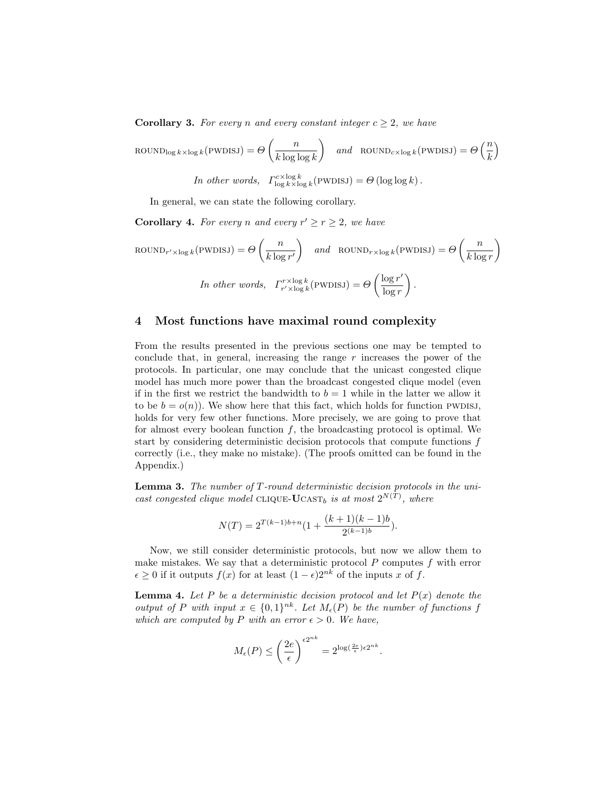**Corollary 3.** For every n and every constant integer  $c \geq 2$ , we have

$$
\text{ROUND}_{\log k \times \log k}(\text{PWDISJ}) = \Theta\left(\frac{n}{k \log \log k}\right) \quad \text{and} \quad \text{ROUND}_{c \times \log k}(\text{PWDISJ}) = \Theta\left(\frac{n}{k}\right)
$$

In other words,  $\Gamma_{\log k \times \log k}^{c \times \log k}$  (PWDISJ) =  $\Theta(\log \log k)$ .

In general, we can state the following corollary.

**Corollary 4.** For every n and every  $r' \ge r \ge 2$ , we have

$$
\text{ROUND}_{r' \times \log k}(\text{PWDISJ}) = \Theta\left(\frac{n}{k \log r'}\right) \quad \text{and} \quad \text{ROUND}_{r \times \log k}(\text{PWDISJ}) = \Theta\left(\frac{n}{k \log r}\right)
$$
\n
$$
\text{In other words, } \quad \Gamma_{r' \times \log k}^{r \times \log k}(\text{PWDISJ}) = \Theta\left(\frac{\log r'}{\log r}\right).
$$

## 4 Most functions have maximal round complexity

From the results presented in the previous sections one may be tempted to conclude that, in general, increasing the range  $r$  increases the power of the protocols. In particular, one may conclude that the unicast congested clique model has much more power than the broadcast congested clique model (even if in the first we restrict the bandwidth to  $b = 1$  while in the latter we allow it to be  $b = o(n)$ . We show here that this fact, which holds for function pwplsj, holds for very few other functions. More precisely, we are going to prove that for almost every boolean function  $f$ , the broadcasting protocol is optimal. We start by considering deterministic decision protocols that compute functions f correctly (i.e., they make no mistake). (The proofs omitted can be found in the Appendix.)

**Lemma 3.** The number of  $T$ -round deterministic decision protocols in the unicast congested clique model CLIQUE-UCAST<sub>b</sub> is at most  $2^{N(T)}$ , where

$$
N(T) = 2^{T(k-1)b+n} \left(1 + \frac{(k+1)(k-1)b}{2^{(k-1)b}}\right).
$$

Now, we still consider deterministic protocols, but now we allow them to make mistakes. We say that a deterministic protocol  $P$  computes  $f$  with error  $\epsilon \geq 0$  if it outputs  $f(x)$  for at least  $(1 - \epsilon)2^{nk}$  of the inputs x of f.

**Lemma 4.** Let P be a deterministic decision protocol and let  $P(x)$  denote the output of P with input  $x \in \{0,1\}^{nk}$ . Let  $M_{\epsilon}(P)$  be the number of functions f which are computed by P with an error  $\epsilon > 0$ . We have,

$$
M_{\epsilon}(P) \le \left(\frac{2e}{\epsilon}\right)^{\epsilon 2^{nk}} = 2^{\log(\frac{2e}{\epsilon})\epsilon 2^{nk}}.
$$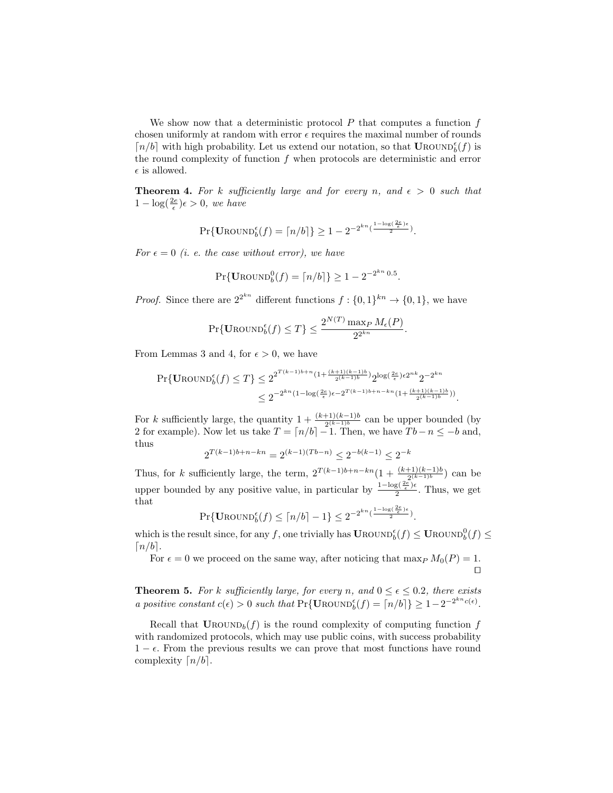We show now that a deterministic protocol  $P$  that computes a function  $f$ chosen uniformly at random with error  $\epsilon$  requires the maximal number of rounds  $\lceil n/b \rceil$  with high probability. Let us extend our notation, so that UROUND $_b^{\epsilon}(f)$  is the round complexity of function  $f$  when protocols are deterministic and error  $\epsilon$  is allowed.

**Theorem 4.** For k sufficiently large and for every n, and  $\epsilon > 0$  such that  $1 - \log(\frac{2e}{\epsilon})\epsilon > 0$ , we have

$$
\Pr\{\operatorname{UROUND}_b^{\epsilon}(f) = \lceil n/b \rceil\} \ge 1 - 2^{-2^{kn}(\frac{1-\log(2\epsilon)}{2})}.
$$

For  $\epsilon = 0$  (i. e. the case without error), we have

$$
Pr{U_{\text{ROUND}}_b^0(f) = \lceil n/b \rceil} \ge 1 - 2^{-2^{kn} 0.5}.
$$

*Proof.* Since there are  $2^{2^{kn}}$  different functions  $f: \{0,1\}^{kn} \to \{0,1\}$ , we have

$$
\Pr\{\text{Urown}_{b}(f) \leq T\} \leq \frac{2^{N(T)} \max_{P} M_{\epsilon}(P)}{2^{2^{kn}}}.
$$

From Lemmas 3 and 4, for  $\epsilon > 0$ , we have

$$
\Pr\{\text{UROUND}_b^{\epsilon}(f) \le T\} \le 2^{2^{T(k-1)b+n}(1+\frac{(k+1)(k-1)b}{2^{(k-1)b}})} 2^{\log(\frac{2e}{\epsilon})\epsilon 2^{nk}} 2^{-2^{kn}} \le 2^{-2^{kn}(1-\log(\frac{2e}{\epsilon})\epsilon - 2^{T(k-1)b+n-kn}(1+\frac{(k+1)(k-1)b}{2^{(k-1)b}}))}.
$$

For k sufficiently large, the quantity  $1 + \frac{(k+1)(k-1)b}{2^{(k-1)b}}$  can be upper bounded (by 2 for example). Now let us take  $T = \lfloor n/b \rfloor - 1$ . Then, we have  $Tb - n \le -b$  and, thus

$$
2^{T(k-1)b+n-kn} = 2^{(k-1)(Tb-n)} \leq 2^{-b(k-1)} \leq 2^{-k}
$$

Thus, for k sufficiently large, the term,  $2^{T(k-1)b+n-kn}(1+\frac{(k+1)(k-1)b}{2^{(k-1)b}})$  can be upper bounded by any positive value, in particular by  $\frac{1-\log(\frac{2e}{\epsilon})\epsilon}{2}$  $\frac{2(\frac{1}{\epsilon})^{\epsilon}}{2}$ . Thus, we get that

$$
\Pr\{\text{UROUND}_b^{\epsilon}(f) \leq \lceil n/b \rceil - 1\} \leq 2^{-2^{kn}(\frac{1 - \log(\frac{2\epsilon}{\epsilon})^{\epsilon}}{2})}.
$$

which is the result since, for any f, one trivially has  $\mathbf{U}\text{ROUND}_{b}^{\epsilon}(f) \leq \mathbf{U}\text{ROUND}_{b}^{0}(f) \leq$  $\lceil n/b \rceil$ .

For  $\epsilon = 0$  we proceed on the same way, after noticing that max<sub>P</sub>  $M_0(P) = 1$ .  $\Box$ 

**Theorem 5.** For k sufficiently large, for every n, and  $0 \le \epsilon \le 0.2$ , there exists a positive constant  $c(\epsilon) > 0$  such that  $Pr{\text{UROWD}_{b}^{\epsilon}(f) = [n/b] \ge 1 - 2^{-2^{kn}c(\epsilon)}}$ .

Recall that  $\text{Urown}_b(f)$  is the round complexity of computing function f with randomized protocols, which may use public coins, with success probability  $1 - \epsilon$ . From the previous results we can prove that most functions have round complexity  $\lceil n/b \rceil$ .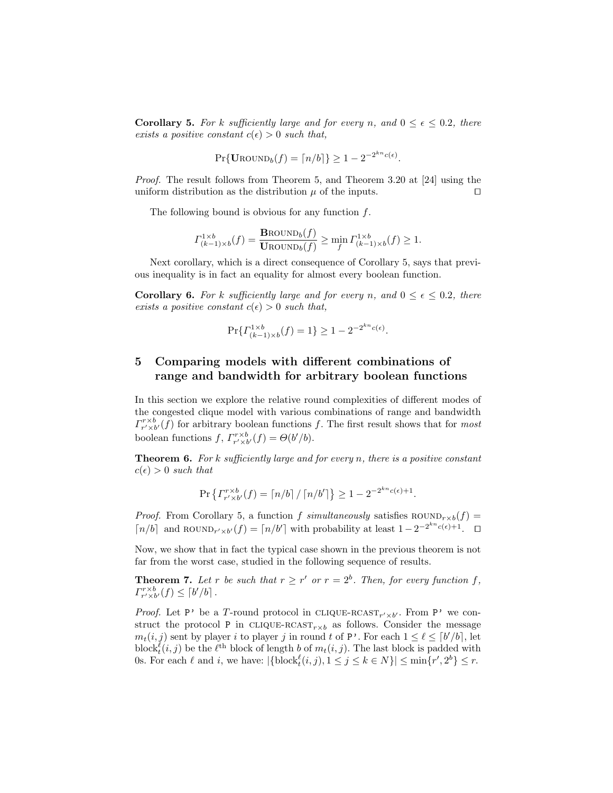**Corollary 5.** For k sufficiently large and for every n, and  $0 \le \epsilon \le 0.2$ , there exists a positive constant  $c(\epsilon) > 0$  such that,

$$
Pr{ \mathbf{U} \text{ROUND}_b(f) = \lceil n/b \rceil } \ge 1 - 2^{-2^{kn}c(\epsilon)}.
$$

Proof. The result follows from Theorem 5, and Theorem 3.20 at [24] using the uniform distribution as the distribution  $\mu$  of the inputs.  $\Box$ 

The following bound is obvious for any function  $f$ .

$$
\Gamma_{(k-1)\times b}^{1\times b}(f) = \frac{\text{Brown}_{b}(f)}{\text{Urown}_{b}(f)} \ge \min_{f} \Gamma_{(k-1)\times b}^{1\times b}(f) \ge 1.
$$

Next corollary, which is a direct consequence of Corollary 5, says that previous inequality is in fact an equality for almost every boolean function.

**Corollary 6.** For k sufficiently large and for every n, and  $0 \le \epsilon \le 0.2$ , there exists a positive constant  $c(\epsilon) > 0$  such that,

$$
\Pr\{ \Gamma^{1 \times b}_{(k-1) \times b}(f) = 1 \} \ge 1 - 2^{-2^{kn}c(\epsilon)}.
$$

# 5 Comparing models with different combinations of range and bandwidth for arbitrary boolean functions

In this section we explore the relative round complexities of different modes of the congested clique model with various combinations of range and bandwidth  $\Gamma^{r\times b}_{r'\times b'}(f)$  for arbitrary boolean functions f. The first result shows that for most boolean functions  $f, \Gamma_{r' \times b'}^{r \times b}(f) = \Theta(b'/b).$ 

**Theorem 6.** For k sufficiently large and for every n, there is a positive constant  $c(\epsilon) > 0$  such that

$$
\Pr\left\{ \Gamma_{r' \times b'}^{r \times b}(f) = \lceil n/b \rceil / \lceil n/b' \rceil \right\} \ge 1 - 2^{-2^{kn}c(\epsilon) + 1}.
$$

*Proof.* From Corollary 5, a function f simultaneously satisfies  $\text{ROUND}_{r\times b}(f)$  =  $\lceil n/b \rceil$  and ROUND<sub>r'×b'</sub> $(f) = \lceil n/b' \rceil$  with probability at least  $1 - 2^{-2^{kn}c(\epsilon)+1}$ .  $\Box$ 

Now, we show that in fact the typical case shown in the previous theorem is not far from the worst case, studied in the following sequence of results.

**Theorem 7.** Let r be such that  $r \geq r'$  or  $r = 2^b$ . Then, for every function f,  $\Gamma^{r\times b}_{r'\times b'}(f)\leq \lceil b'/b\rceil$ .

*Proof.* Let P' be a T-round protocol in CLIQUE-RCAST<sub>r' $\times b'$ </sub>. From P' we construct the protocol P in CLIQUE-RCAST<sub>r $\times b$ </sub> as follows. Consider the message  $m_t(i, j)$  sent by player i to player j in round t of P'. For each  $1 \leq \ell \leq \lceil b'/b \rceil$ , let block $\ell_t^{\ell}(i, j)$  be the  $\ell^{\text{th}}$  block of length b of  $m_t(i, j)$ . The last block is padded with 0s. For each  $\ell$  and i, we have:  $|\{\text{block}_t^{\ell}(i,j), 1 \leq j \leq k \in N\}| \leq \min\{r', 2^b\} \leq r$ .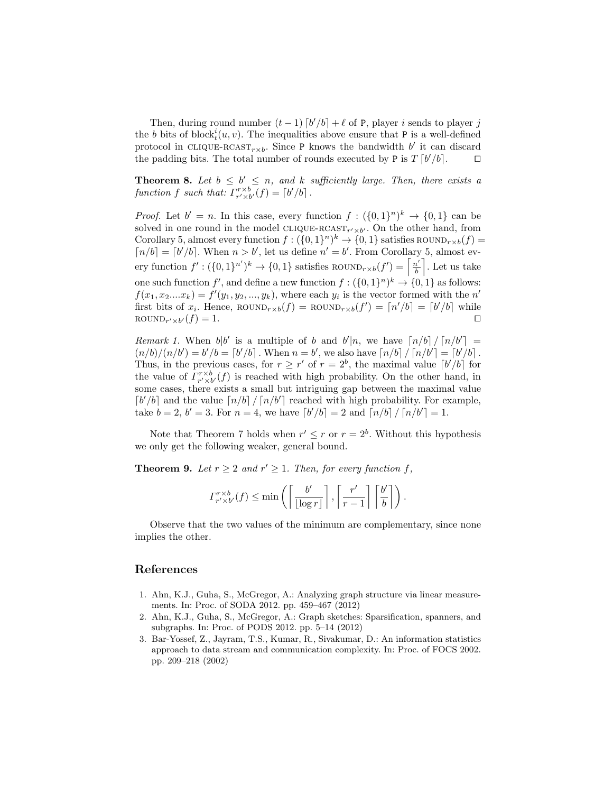Then, during round number  $(t-1)$   $\lceil b'/b \rceil + \ell$  of P, player i sends to player j the b bits of block $_t^i(u, v)$ . The inequalities above ensure that P is a well-defined protocol in CLIQUE-RCAST<sub>r×b</sub>. Since P knows the bandwidth b' it can discard the padding bits. The total number of rounds executed by P is  $T [b'/b]$ .  $\square$ 

**Theorem 8.** Let  $b \leq b' \leq n$ , and k sufficiently large. Then, there exists a function f such that:  $\Gamma_{r' \times b'}^{r \times b}(f) = \lceil b'/b \rceil$ .

*Proof.* Let  $b' = n$ . In this case, every function  $f: (\{0,1\}^n)^k \to \{0,1\}$  can be solved in one round in the model CLIQUE-RCAST<sub>r'×b'</sub>. On the other hand, from Corollary 5, almost every function  $f: (\{0,1\}^n)^k \to \{0,1\}$  satisfies ROUND<sub>r×b</sub>(f) =  $\lceil n/b \rceil = \lceil b'/b \rceil$ . When  $n > b'$ , let us define  $n' = b'$ . From Corollary 5, almost every function  $f' : (\{0,1\}^{n'})^k \to \{0,1\}$  satisfies ROUND<sub>r×b</sub> $(f') = \left\lceil \frac{n'}{b} \right\rceil$  $\frac{a'}{b}$ . Let us take one such function  $f'$ , and define a new function  $f: (\{0,1\}^n)^k \to \{0,1\}$  as follows:  $f(x_1, x_2...x_k) = f'(y_1, y_2, ..., y_k)$ , where each  $y_i$  is the vector formed with the n' first bits of  $x_i$ . Hence, ROUND<sub>r×b</sub> $(f)$  = ROUND<sub>r×b</sub> $(f') = [n'/b] = [b'/b]$  while  $\text{ROUND}_{r' \times b'}(f) = 1.$ 

Remark 1. When  $b|b'$  is a multiple of b and  $b'|n$ , we have  $\lceil n/b \rceil / \lceil n/b' \rceil =$  $(n/b)/(n/b') = b'/b = \lceil b'/b \rceil$ . When  $n = b'$ , we also have  $\lceil n/b \rceil / \lceil n/b' \rceil = \lceil b'/b \rceil$ . Thus, in the previous cases, for  $r \geq r'$  of  $r = 2^b$ , the maximal value  $\lceil b'/b \rceil$  for the value of  $\Gamma^{r \times b}_{r' \times b'}(f)$  is reached with high probability. On the other hand, in some cases, there exists a small but intriguing gap between the maximal value  $\left[\frac{b'}{b}\right]$  and the value  $\left\lceil \frac{n}{b} \right\rceil / \left\lceil \frac{n}{b'} \right\rceil$  reached with high probability. For example, take  $b = 2, b' = 3$ . For  $n = 4$ , we have  $\lceil b'/b \rceil = 2$  and  $\lceil n/b \rceil / \lceil n/b' \rceil = 1$ .

Note that Theorem 7 holds when  $r' \leq r$  or  $r = 2<sup>b</sup>$ . Without this hypothesis we only get the following weaker, general bound.

**Theorem 9.** Let  $r \geq 2$  and  $r' \geq 1$ . Then, for every function f,

$$
\Gamma_{r' \times b'}^{r \times b}(f) \le \min\left(\left\lceil \frac{b'}{\lfloor \log r \rfloor} \right\rceil, \left\lceil \frac{r'}{r-1} \right\rceil \left\lceil \frac{b'}{b} \right\rceil \right).
$$

Observe that the two values of the minimum are complementary, since none implies the other.

# References

- 1. Ahn, K.J., Guha, S., McGregor, A.: Analyzing graph structure via linear measurements. In: Proc. of SODA 2012. pp. 459–467 (2012)
- 2. Ahn, K.J., Guha, S., McGregor, A.: Graph sketches: Sparsification, spanners, and subgraphs. In: Proc. of PODS 2012. pp. 5–14 (2012)
- 3. Bar-Yossef, Z., Jayram, T.S., Kumar, R., Sivakumar, D.: An information statistics approach to data stream and communication complexity. In: Proc. of FOCS 2002. pp. 209–218 (2002)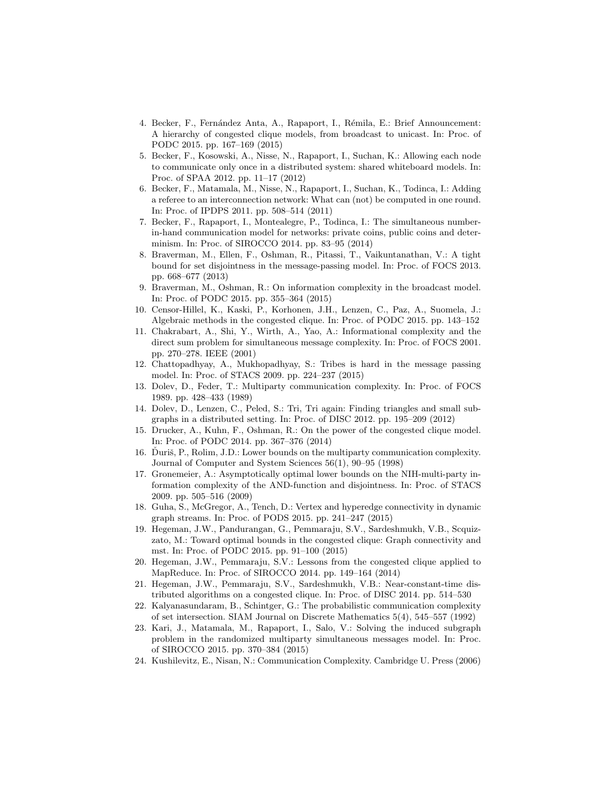- 4. Becker, F., Fernández Anta, A., Rapaport, I., Rémila, E.: Brief Announcement: A hierarchy of congested clique models, from broadcast to unicast. In: Proc. of PODC 2015. pp. 167–169 (2015)
- 5. Becker, F., Kosowski, A., Nisse, N., Rapaport, I., Suchan, K.: Allowing each node to communicate only once in a distributed system: shared whiteboard models. In: Proc. of SPAA 2012. pp. 11–17 (2012)
- 6. Becker, F., Matamala, M., Nisse, N., Rapaport, I., Suchan, K., Todinca, I.: Adding a referee to an interconnection network: What can (not) be computed in one round. In: Proc. of IPDPS 2011. pp. 508–514 (2011)
- 7. Becker, F., Rapaport, I., Montealegre, P., Todinca, I.: The simultaneous numberin-hand communication model for networks: private coins, public coins and determinism. In: Proc. of SIROCCO 2014. pp. 83–95 (2014)
- 8. Braverman, M., Ellen, F., Oshman, R., Pitassi, T., Vaikuntanathan, V.: A tight bound for set disjointness in the message-passing model. In: Proc. of FOCS 2013. pp. 668–677 (2013)
- 9. Braverman, M., Oshman, R.: On information complexity in the broadcast model. In: Proc. of PODC 2015. pp. 355–364 (2015)
- 10. Censor-Hillel, K., Kaski, P., Korhonen, J.H., Lenzen, C., Paz, A., Suomela, J.: Algebraic methods in the congested clique. In: Proc. of PODC 2015. pp. 143–152
- 11. Chakrabart, A., Shi, Y., Wirth, A., Yao, A.: Informational complexity and the direct sum problem for simultaneous message complexity. In: Proc. of FOCS 2001. pp. 270–278. IEEE (2001)
- 12. Chattopadhyay, A., Mukhopadhyay, S.: Tribes is hard in the message passing model. In: Proc. of STACS 2009. pp. 224–237 (2015)
- 13. Dolev, D., Feder, T.: Multiparty communication complexity. In: Proc. of FOCS 1989. pp. 428–433 (1989)
- 14. Dolev, D., Lenzen, C., Peled, S.: Tri, Tri again: Finding triangles and small subgraphs in a distributed setting. In: Proc. of DISC 2012. pp. 195–209 (2012)
- 15. Drucker, A., Kuhn, F., Oshman, R.: On the power of the congested clique model. In: Proc. of PODC 2014. pp. 367–376 (2014)
- 16. Duriš, P., Rolim, J.D.: Lower bounds on the multiparty communication complexity. Journal of Computer and System Sciences 56(1), 90–95 (1998)
- 17. Gronemeier, A.: Asymptotically optimal lower bounds on the NIH-multi-party information complexity of the AND-function and disjointness. In: Proc. of STACS 2009. pp. 505–516 (2009)
- 18. Guha, S., McGregor, A., Tench, D.: Vertex and hyperedge connectivity in dynamic graph streams. In: Proc. of PODS 2015. pp. 241–247 (2015)
- 19. Hegeman, J.W., Pandurangan, G., Pemmaraju, S.V., Sardeshmukh, V.B., Scquizzato, M.: Toward optimal bounds in the congested clique: Graph connectivity and mst. In: Proc. of PODC 2015. pp. 91–100 (2015)
- 20. Hegeman, J.W., Pemmaraju, S.V.: Lessons from the congested clique applied to MapReduce. In: Proc. of SIROCCO 2014. pp. 149–164 (2014)
- 21. Hegeman, J.W., Pemmaraju, S.V., Sardeshmukh, V.B.: Near-constant-time distributed algorithms on a congested clique. In: Proc. of DISC 2014. pp. 514–530
- 22. Kalyanasundaram, B., Schintger, G.: The probabilistic communication complexity of set intersection. SIAM Journal on Discrete Mathematics 5(4), 545–557 (1992)
- 23. Kari, J., Matamala, M., Rapaport, I., Salo, V.: Solving the induced subgraph problem in the randomized multiparty simultaneous messages model. In: Proc. of SIROCCO 2015. pp. 370–384 (2015)
- 24. Kushilevitz, E., Nisan, N.: Communication Complexity. Cambridge U. Press (2006)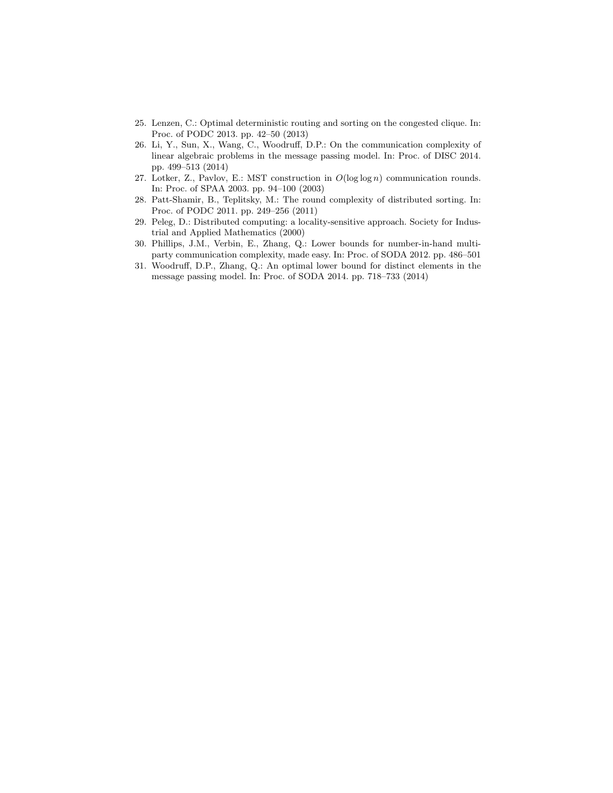- 25. Lenzen, C.: Optimal deterministic routing and sorting on the congested clique. In: Proc. of PODC 2013. pp. 42–50 (2013)
- 26. Li, Y., Sun, X., Wang, C., Woodruff, D.P.: On the communication complexity of linear algebraic problems in the message passing model. In: Proc. of DISC 2014. pp. 499–513 (2014)
- 27. Lotker, Z., Pavlov, E.: MST construction in  $O(\log \log n)$  communication rounds. In: Proc. of SPAA 2003. pp. 94–100 (2003)
- 28. Patt-Shamir, B., Teplitsky, M.: The round complexity of distributed sorting. In: Proc. of PODC 2011. pp. 249–256 (2011)
- 29. Peleg, D.: Distributed computing: a locality-sensitive approach. Society for Industrial and Applied Mathematics (2000)
- 30. Phillips, J.M., Verbin, E., Zhang, Q.: Lower bounds for number-in-hand multiparty communication complexity, made easy. In: Proc. of SODA 2012. pp. 486–501
- 31. Woodruff, D.P., Zhang, Q.: An optimal lower bound for distinct elements in the message passing model. In: Proc. of SODA 2014. pp. 718–733 (2014)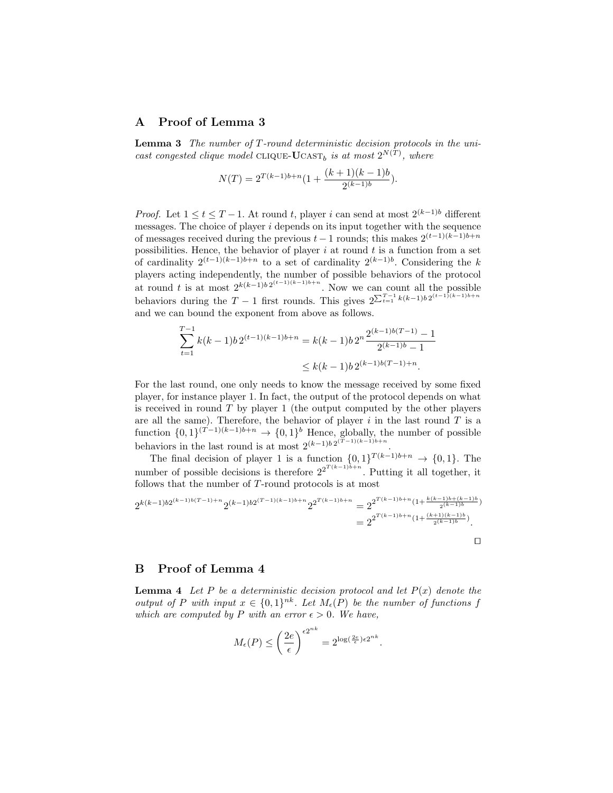# A Proof of Lemma 3

**Lemma 3** The number of  $T$ -round deterministic decision protocols in the unicast congested clique model CLIQUE-UCAST<sub>b</sub> is at most  $2^{N(T)}$ , where

$$
N(T) = 2^{T(k-1)b+n} \left(1 + \frac{(k+1)(k-1)b}{2^{(k-1)b}}\right).
$$

*Proof.* Let  $1 \le t \le T-1$ . At round t, player i can send at most  $2^{(k-1)b}$  different messages. The choice of player  $i$  depends on its input together with the sequence of messages received during the previous  $t-1$  rounds; this makes  $2^{(t-1)(k-1)b+n}$ possibilities. Hence, the behavior of player  $i$  at round  $t$  is a function from a set of cardinality  $2^{(t-1)(k-1)b+n}$  to a set of cardinality  $2^{(k-1)b}$ . Considering the k players acting independently, the number of possible behaviors of the protocol at round t is at most  $2^{k(k-1)b} 2^{(t-1)(k-1)b+n}$ . Now we can count all the possible behaviors during the  $T-1$  first rounds. This gives  $2^{\sum_{t=1}^{T-1} k(k-1)b 2^{(t-1)(k-1)b+n}}$ and we can bound the exponent from above as follows.

$$
\sum_{t=1}^{T-1} k(k-1)b 2^{(t-1)(k-1)b+n} = k(k-1)b 2^{n} \frac{2^{(k-1)b(T-1)} - 1}{2^{(k-1)b} - 1}
$$
  
 
$$
\leq k(k-1)b 2^{(k-1)b(T-1)+n}.
$$

For the last round, one only needs to know the message received by some fixed player, for instance player 1. In fact, the output of the protocol depends on what is received in round  $T$  by player 1 (the output computed by the other players are all the same). Therefore, the behavior of player  $i$  in the last round  $T$  is a function  $\{0,1\}^{(T-1)(k-1)b+n} \to \{0,1\}^b$  Hence, globally, the number of possible behaviors in the last round is at most  $2^{(k-1)b} 2^{(T-1)(k-1)b+n}$ .

The final decision of player 1 is a function  $\{0,1\}^{T(k-1)b+n} \to \{0,1\}$ . The number of possible decisions is therefore  $2^{2^{T(k-1)b+n}}$ . Putting it all together, it follows that the number of T-round protocols is at most

$$
2^{k(k-1)b2^{(k-1)b(T-1)+n}}2^{(k-1)b2^{(T-1)(k-1)b+n}}2^{2^{T(k-1)b+n}} = 2^{2^{T(k-1)b+n}(1+\frac{k(k-1)b+(k-1)b}{2^{(k-1)b}})} = 2^{2^{T(k-1)b+n}(1+\frac{(k+1)(k-1)b}{2^{(k-1)b}})}.
$$

# B Proof of Lemma 4

**Lemma 4** Let P be a deterministic decision protocol and let  $P(x)$  denote the output of P with input  $x \in \{0,1\}^{nk}$ . Let  $M_{\epsilon}(P)$  be the number of functions f which are computed by P with an error  $\epsilon > 0$ . We have,

$$
M_{\epsilon}(P) \le \left(\frac{2e}{\epsilon}\right)^{\epsilon 2^{nk}} = 2^{\log\left(\frac{2e}{\epsilon}\right)\epsilon 2^{nk}}.
$$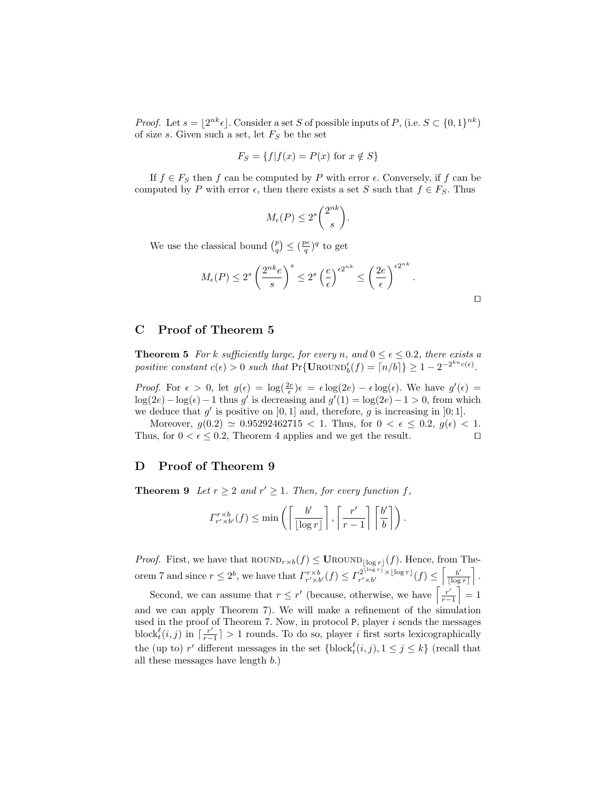*Proof.* Let  $s = \lfloor 2^{nk} \epsilon \rfloor$ . Consider a set S of possible inputs of P, (i.e.  $S \subset \{0, 1\}^{nk}$ ) of size s. Given such a set, let  $F_S$  be the set

$$
F_S = \{ f | f(x) = P(x) \text{ for } x \notin S \}
$$

If  $f \in F_S$  then f can be computed by P with error  $\epsilon$ . Conversely, if f can be computed by P with error  $\epsilon$ , then there exists a set S such that  $f \in F_S$ . Thus

$$
M_{\epsilon}(P) \le 2^s {2^{nk} \choose s}.
$$

We use the classical bound  $\binom{p}{q} \leq \left(\frac{pe}{q}\right)^q$  to get

$$
M_{\epsilon}(P) \le 2^s \left(\frac{2^{nk}e}{s}\right)^s \le 2^s \left(\frac{e}{\epsilon}\right)^{\epsilon 2^{nk}} \le \left(\frac{2e}{\epsilon}\right)^{\epsilon 2^{nk}}.
$$

# C Proof of Theorem 5

**Theorem 5** For k sufficiently large, for every n, and  $0 \le \epsilon \le 0.2$ , there exists a positive constant  $c(\epsilon) > 0$  such that  $Pr{\text{UROWn}}_b^{\epsilon}(f) = \lceil n/b \rceil \} \ge 1 - 2^{-2^{kn}c(\epsilon)}$ .

*Proof.* For  $\epsilon > 0$ , let  $g(\epsilon) = \log(\frac{2\epsilon}{\epsilon})\epsilon = \epsilon \log(2\epsilon) - \epsilon \log(\epsilon)$ . We have  $g'(\epsilon) =$  $\log(2e) - \log(\epsilon) - 1$  thus g' is decreasing and  $g'(1) = \log(2e) - 1 > 0$ , from which we deduce that  $g'$  is positive on  $[0, 1]$  and, therefore, g is increasing in  $[0, 1]$ .

Moreover,  $g(0.2) \simeq 0.95292462715 < 1$ . Thus, for  $0 < \epsilon \le 0.2$ ,  $g(\epsilon) < 1$ . Thus, for  $0 < \epsilon \leq 0.2$ , Theorem 4 applies and we get the result.

#### D Proof of Theorem 9

**Theorem 9** Let  $r \geq 2$  and  $r' \geq 1$ . Then, for every function f,

$$
\Gamma_{r' \times b'}^{r \times b}(f) \le \min\left(\left\lceil \frac{b'}{\lfloor \log r \rfloor} \right\rceil, \left\lceil \frac{r'}{r-1} \right\rceil \left\lceil \frac{b'}{b} \right\rceil \right).
$$

*Proof.* First, we have that  $\text{ROUND}_{r \times b}(f) \leq \text{UROUND}_{\lfloor \log r \rfloor}(f)$ . Hence, from Theorem 7 and since  $r \leq 2^b$ , we have that  $\Gamma_{r' \times b'}^{r \times b}(f) \leq \Gamma_{r' \times b'}^{2^{\lfloor \log r \rfloor} \times \lfloor \log r \rfloor}$  $\frac{1}{r'\times b'}^{\left\lfloor \log r \right\rfloor}\times \left\lfloor \log r \right\rfloor}(f) \leq \Bigl\lceil \frac{b'}{\left\lceil \log r \right\rceil} \Bigr\rceil$  $\frac{b'}{\lfloor \log r \rfloor}$ .

Second, we can assume that  $r \leq r'$  (because, otherwise, we have  $\left[\frac{r'}{r}\right]$  $\left[\frac{r'}{r-1}\right]=1$ and we can apply Theorem 7). We will make a refinement of the simulation used in the proof of Theorem 7. Now, in protocol  $P$ , player  $i$  sends the messages block ${}_{t}^{\ell}(i,j)$  in  $\lceil \frac{r'}{r-1} \rceil$  $\frac{r'}{r-1}$  > 1 rounds. To do so, player *i* first sorts lexicographically the (up to) r' different messages in the set  $\{\text{block}^{\ell}_t(i,j), 1 \leq j \leq k\}$  (recall that all these messages have length b.)